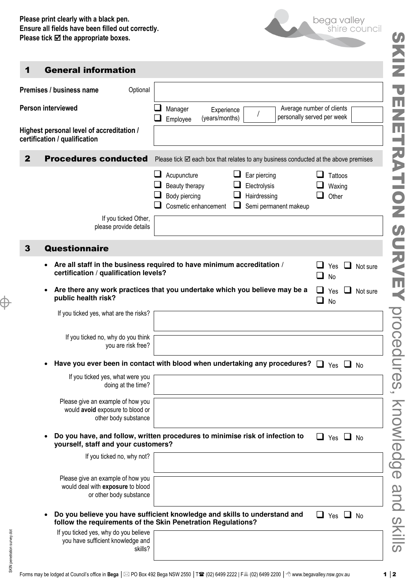

## 1 General information

SKIN penetration survey.dot

SKIN penetration survey.dot

Ë

|                                                                            | Premises / business name                                                                                                                                          | Optional             |  |                                                                        |  |        |                                              |                       |                                                         |                            |                          |          |
|----------------------------------------------------------------------------|-------------------------------------------------------------------------------------------------------------------------------------------------------------------|----------------------|--|------------------------------------------------------------------------|--|--------|----------------------------------------------|-----------------------|---------------------------------------------------------|----------------------------|--------------------------|----------|
| <b>Person interviewed</b>                                                  |                                                                                                                                                                   |                      |  | Manager<br>Experience<br>(years/months)<br>Employee                    |  |        |                                              |                       | Average number of clients<br>personally served per week |                            |                          |          |
| Highest personal level of accreditation /<br>certification / qualification |                                                                                                                                                                   |                      |  |                                                                        |  |        |                                              |                       |                                                         |                            |                          |          |
| $\mathbf{2}$                                                               | <b>Procedures conducted</b><br>Please tick $\boxtimes$ each box that relates to any business conducted at the above premises                                      |                      |  |                                                                        |  |        |                                              |                       |                                                         |                            |                          |          |
|                                                                            |                                                                                                                                                                   |                      |  | Acupuncture<br>Beauty therapy<br>Body piercing<br>Cosmetic enhancement |  | ⊔      | Ear piercing<br>Electrolysis<br>Hairdressing | Semi permanent makeup |                                                         | Tattoos<br>Waxing<br>Other |                          |          |
|                                                                            | please provide details                                                                                                                                            | If you ticked Other, |  |                                                                        |  |        |                                              |                       |                                                         |                            |                          |          |
| Questionnaire<br>3                                                         |                                                                                                                                                                   |                      |  |                                                                        |  |        |                                              |                       |                                                         |                            |                          |          |
|                                                                            | Are all staff in the business required to have minimum accreditation /<br>certification / qualification levels?                                                   |                      |  |                                                                        |  | $\Box$ | Yes $\Box$<br>No                             |                       | Not sure                                                |                            |                          |          |
|                                                                            | Are there any work practices that you undertake which you believe may be a<br>public health risk?                                                                 |                      |  |                                                                        |  |        |                                              |                       | $\Box$                                                  | $\Box$ Yes<br>No           | $\overline{\phantom{a}}$ | Not sure |
|                                                                            | If you ticked yes, what are the risks?                                                                                                                            |                      |  |                                                                        |  |        |                                              |                       |                                                         |                            |                          |          |
|                                                                            | If you ticked no, why do you think                                                                                                                                | you are risk free?   |  |                                                                        |  |        |                                              |                       |                                                         |                            |                          |          |
|                                                                            | Have you ever been in contact with blood when undertaking any procedures?                                                                                         |                      |  |                                                                        |  |        |                                              |                       |                                                         | Yes                        |                          | No       |
|                                                                            | If you ticked yes, what were you                                                                                                                                  | doing at the time?   |  |                                                                        |  |        |                                              |                       |                                                         |                            |                          |          |
|                                                                            | Please give an example of how you<br>would avoid exposure to blood or<br>other body substance                                                                     |                      |  |                                                                        |  |        |                                              |                       |                                                         |                            |                          |          |
|                                                                            | Do you have, and follow, written procedures to minimise risk of infection to<br>$\Box$ Yes $\Box$ No<br>yourself, staff and your customers?                       |                      |  |                                                                        |  |        |                                              |                       |                                                         |                            |                          |          |
|                                                                            | If you ticked no, why not?                                                                                                                                        |                      |  |                                                                        |  |        |                                              |                       |                                                         |                            |                          |          |
|                                                                            | Please give an example of how you<br>would deal with exposure to blood<br>or other body substance                                                                 |                      |  |                                                                        |  |        |                                              |                       |                                                         |                            |                          |          |
|                                                                            | Do you believe you have sufficient knowledge and skills to understand and<br>$\Box$ Yes $\Box$ No<br>follow the requirements of the Skin Penetration Regulations? |                      |  |                                                                        |  |        |                                              |                       |                                                         |                            |                          |          |
|                                                                            | If you ticked yes, why do you believe<br>you have sufficient knowledge and                                                                                        | skills?              |  |                                                                        |  |        |                                              |                       |                                                         |                            |                          |          |